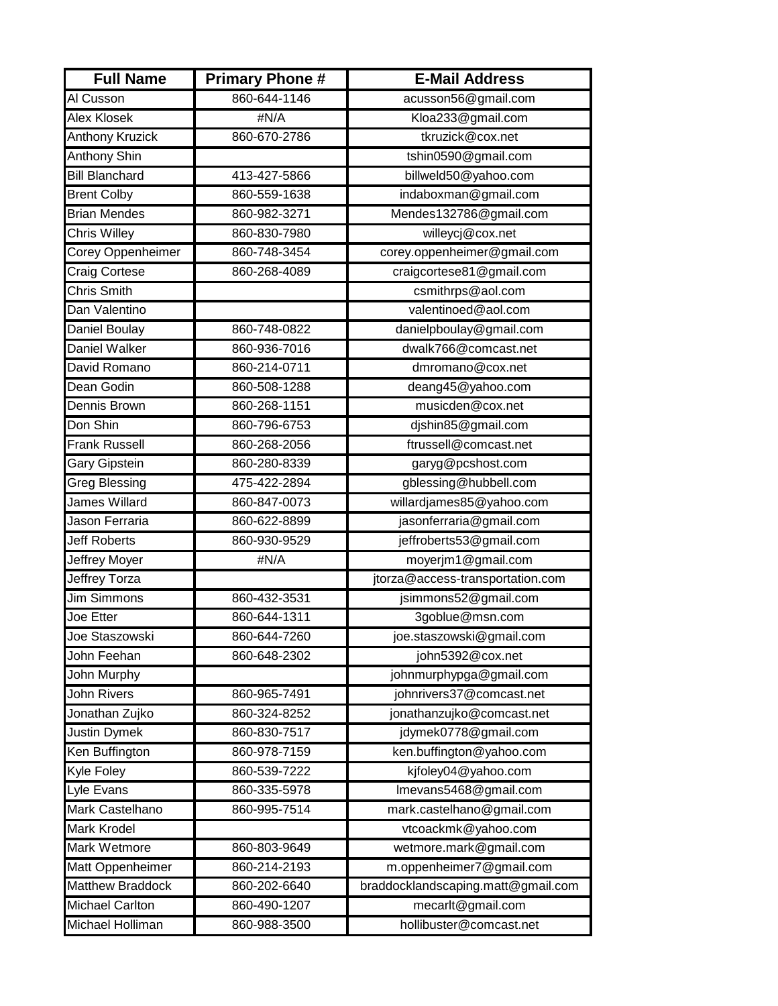| <b>Full Name</b>       | <b>Primary Phone#</b> | <b>E-Mail Address</b>              |
|------------------------|-----------------------|------------------------------------|
| Al Cusson              | 860-644-1146          | acusson56@gmail.com                |
| <b>Alex Klosek</b>     | #N/A                  | Kloa233@gmail.com                  |
| <b>Anthony Kruzick</b> | 860-670-2786          | tkruzick@cox.net                   |
| <b>Anthony Shin</b>    |                       | tshin0590@gmail.com                |
| <b>Bill Blanchard</b>  | 413-427-5866          | billweld50@yahoo.com               |
| <b>Brent Colby</b>     | 860-559-1638          | indaboxman@gmail.com               |
| <b>Brian Mendes</b>    | 860-982-3271          | Mendes132786@gmail.com             |
| Chris Willey           | 860-830-7980          | willeycj@cox.net                   |
| Corey Oppenheimer      | 860-748-3454          | corey.oppenheimer@gmail.com        |
| Craig Cortese          | 860-268-4089          | craigcortese81@gmail.com           |
| Chris Smith            |                       | csmithrps@aol.com                  |
| Dan Valentino          |                       | valentinoed@aol.com                |
| Daniel Boulay          | 860-748-0822          | danielpboulay@gmail.com            |
| Daniel Walker          | 860-936-7016          | dwalk766@comcast.net               |
| David Romano           | 860-214-0711          | dmromano@cox.net                   |
| Dean Godin             | 860-508-1288          | deang45@yahoo.com                  |
| Dennis Brown           | 860-268-1151          | musicden@cox.net                   |
| Don Shin               | 860-796-6753          | djshin85@gmail.com                 |
| <b>Frank Russell</b>   | 860-268-2056          | ftrussell@comcast.net              |
| <b>Gary Gipstein</b>   | 860-280-8339          | garyg@pcshost.com                  |
| Greg Blessing          | 475-422-2894          | gblessing@hubbell.com              |
| <b>James Willard</b>   | 860-847-0073          | willardjames85@yahoo.com           |
| Jason Ferraria         | 860-622-8899          | jasonferraria@gmail.com            |
| <b>Jeff Roberts</b>    | 860-930-9529          | jeffroberts53@gmail.com            |
| Jeffrey Moyer          | #N/A                  | moyerjm1@gmail.com                 |
| Jeffrey Torza          |                       | jtorza@access-transportation.com   |
| Jim Simmons            | 860-432-3531          | jsimmons52@gmail.com               |
| Joe Etter              | 860-644-1311          | 3goblue@msn.com                    |
| Joe Staszowski         | 860-644-7260          | joe.staszowski@gmail.com           |
| John Feehan            | 860-648-2302          | john5392@cox.net                   |
| <b>John Murphy</b>     |                       | johnmurphypga@gmail.com            |
| <b>John Rivers</b>     | 860-965-7491          | johnrivers37@comcast.net           |
| Jonathan Zujko         | 860-324-8252          | jonathanzujko@comcast.net          |
| Justin Dymek           | 860-830-7517          | jdymek0778@gmail.com               |
| Ken Buffington         | 860-978-7159          | ken.buffington@yahoo.com           |
| Kyle Foley             | 860-539-7222          | kjfoley04@yahoo.com                |
| <b>Lyle Evans</b>      | 860-335-5978          | Imevans5468@gmail.com              |
| Mark Castelhano        | 860-995-7514          | mark.castelhano@gmail.com          |
| <b>Mark Krodel</b>     |                       | vtcoackmk@yahoo.com                |
| Mark Wetmore           | 860-803-9649          | wetmore.mark@gmail.com             |
| Matt Oppenheimer       | 860-214-2193          | m.oppenheimer7@gmail.com           |
| Matthew Braddock       | 860-202-6640          | braddocklandscaping.matt@gmail.com |
| <b>Michael Carlton</b> | 860-490-1207          | mecarlt@gmail.com                  |
| Michael Holliman       | 860-988-3500          | hollibuster@comcast.net            |